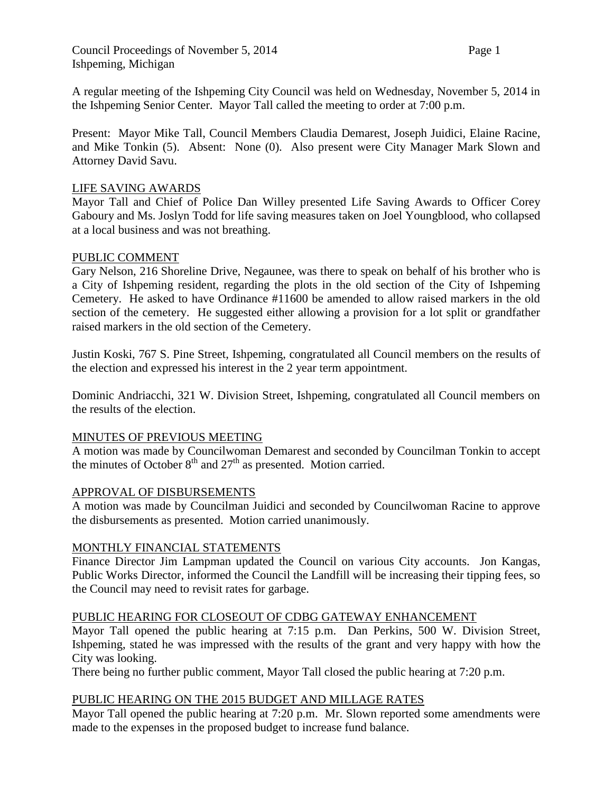A regular meeting of the Ishpeming City Council was held on Wednesday, November 5, 2014 in the Ishpeming Senior Center. Mayor Tall called the meeting to order at 7:00 p.m.

Present: Mayor Mike Tall, Council Members Claudia Demarest, Joseph Juidici, Elaine Racine, and Mike Tonkin (5). Absent: None (0). Also present were City Manager Mark Slown and Attorney David Savu.

## LIFE SAVING AWARDS

Mayor Tall and Chief of Police Dan Willey presented Life Saving Awards to Officer Corey Gaboury and Ms. Joslyn Todd for life saving measures taken on Joel Youngblood, who collapsed at a local business and was not breathing.

## PUBLIC COMMENT

Gary Nelson, 216 Shoreline Drive, Negaunee, was there to speak on behalf of his brother who is a City of Ishpeming resident, regarding the plots in the old section of the City of Ishpeming Cemetery. He asked to have Ordinance #11600 be amended to allow raised markers in the old section of the cemetery. He suggested either allowing a provision for a lot split or grandfather raised markers in the old section of the Cemetery.

Justin Koski, 767 S. Pine Street, Ishpeming, congratulated all Council members on the results of the election and expressed his interest in the 2 year term appointment.

Dominic Andriacchi, 321 W. Division Street, Ishpeming, congratulated all Council members on the results of the election.

### MINUTES OF PREVIOUS MEETING

A motion was made by Councilwoman Demarest and seconded by Councilman Tonkin to accept the minutes of October  $8<sup>th</sup>$  and  $27<sup>th</sup>$  as presented. Motion carried.

### APPROVAL OF DISBURSEMENTS

A motion was made by Councilman Juidici and seconded by Councilwoman Racine to approve the disbursements as presented. Motion carried unanimously.

# MONTHLY FINANCIAL STATEMENTS

Finance Director Jim Lampman updated the Council on various City accounts. Jon Kangas, Public Works Director, informed the Council the Landfill will be increasing their tipping fees, so the Council may need to revisit rates for garbage.

### PUBLIC HEARING FOR CLOSEOUT OF CDBG GATEWAY ENHANCEMENT

Mayor Tall opened the public hearing at 7:15 p.m. Dan Perkins, 500 W. Division Street, Ishpeming, stated he was impressed with the results of the grant and very happy with how the City was looking.

There being no further public comment, Mayor Tall closed the public hearing at 7:20 p.m.

# PUBLIC HEARING ON THE 2015 BUDGET AND MILLAGE RATES

Mayor Tall opened the public hearing at 7:20 p.m. Mr. Slown reported some amendments were made to the expenses in the proposed budget to increase fund balance.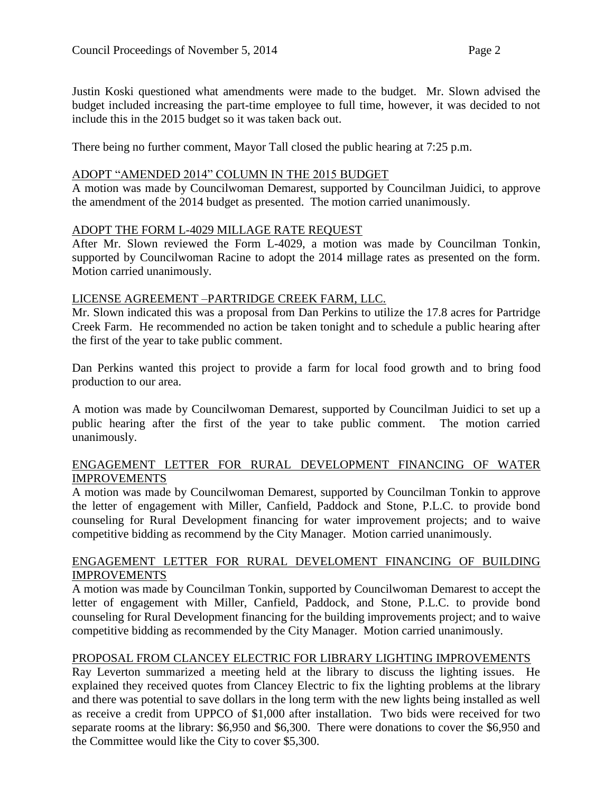Justin Koski questioned what amendments were made to the budget. Mr. Slown advised the budget included increasing the part-time employee to full time, however, it was decided to not include this in the 2015 budget so it was taken back out.

There being no further comment, Mayor Tall closed the public hearing at 7:25 p.m.

### ADOPT "AMENDED 2014" COLUMN IN THE 2015 BUDGET

A motion was made by Councilwoman Demarest, supported by Councilman Juidici, to approve the amendment of the 2014 budget as presented. The motion carried unanimously.

### ADOPT THE FORM L-4029 MILLAGE RATE REQUEST

After Mr. Slown reviewed the Form L-4029, a motion was made by Councilman Tonkin, supported by Councilwoman Racine to adopt the 2014 millage rates as presented on the form. Motion carried unanimously.

### LICENSE AGREEMENT –PARTRIDGE CREEK FARM, LLC.

Mr. Slown indicated this was a proposal from Dan Perkins to utilize the 17.8 acres for Partridge Creek Farm. He recommended no action be taken tonight and to schedule a public hearing after the first of the year to take public comment.

Dan Perkins wanted this project to provide a farm for local food growth and to bring food production to our area.

A motion was made by Councilwoman Demarest, supported by Councilman Juidici to set up a public hearing after the first of the year to take public comment. The motion carried unanimously.

# ENGAGEMENT LETTER FOR RURAL DEVELOPMENT FINANCING OF WATER IMPROVEMENTS

A motion was made by Councilwoman Demarest, supported by Councilman Tonkin to approve the letter of engagement with Miller, Canfield, Paddock and Stone, P.L.C. to provide bond counseling for Rural Development financing for water improvement projects; and to waive competitive bidding as recommend by the City Manager. Motion carried unanimously.

## ENGAGEMENT LETTER FOR RURAL DEVELOMENT FINANCING OF BUILDING IMPROVEMENTS

A motion was made by Councilman Tonkin, supported by Councilwoman Demarest to accept the letter of engagement with Miller, Canfield, Paddock, and Stone, P.L.C. to provide bond counseling for Rural Development financing for the building improvements project; and to waive competitive bidding as recommended by the City Manager. Motion carried unanimously.

# PROPOSAL FROM CLANCEY ELECTRIC FOR LIBRARY LIGHTING IMPROVEMENTS

Ray Leverton summarized a meeting held at the library to discuss the lighting issues. He explained they received quotes from Clancey Electric to fix the lighting problems at the library and there was potential to save dollars in the long term with the new lights being installed as well as receive a credit from UPPCO of \$1,000 after installation. Two bids were received for two separate rooms at the library: \$6,950 and \$6,300. There were donations to cover the \$6,950 and the Committee would like the City to cover \$5,300.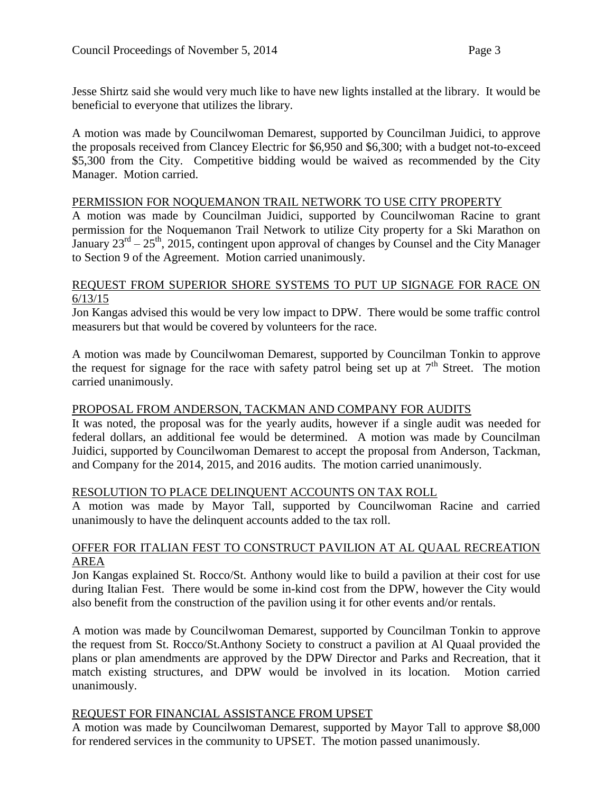Jesse Shirtz said she would very much like to have new lights installed at the library. It would be beneficial to everyone that utilizes the library.

A motion was made by Councilwoman Demarest, supported by Councilman Juidici, to approve the proposals received from Clancey Electric for \$6,950 and \$6,300; with a budget not-to-exceed \$5,300 from the City. Competitive bidding would be waived as recommended by the City Manager. Motion carried.

### PERMISSION FOR NOQUEMANON TRAIL NETWORK TO USE CITY PROPERTY

A motion was made by Councilman Juidici, supported by Councilwoman Racine to grant permission for the Noquemanon Trail Network to utilize City property for a Ski Marathon on January  $23^{rd} - 25^{th}$ , 2015, contingent upon approval of changes by Counsel and the City Manager to Section 9 of the Agreement. Motion carried unanimously.

### REQUEST FROM SUPERIOR SHORE SYSTEMS TO PUT UP SIGNAGE FOR RACE ON 6/13/15

Jon Kangas advised this would be very low impact to DPW. There would be some traffic control measurers but that would be covered by volunteers for the race.

A motion was made by Councilwoman Demarest, supported by Councilman Tonkin to approve the request for signage for the race with safety patrol being set up at  $7<sup>th</sup>$  Street. The motion carried unanimously.

# PROPOSAL FROM ANDERSON, TACKMAN AND COMPANY FOR AUDITS

It was noted, the proposal was for the yearly audits, however if a single audit was needed for federal dollars, an additional fee would be determined. A motion was made by Councilman Juidici, supported by Councilwoman Demarest to accept the proposal from Anderson, Tackman, and Company for the 2014, 2015, and 2016 audits. The motion carried unanimously.

### RESOLUTION TO PLACE DELINQUENT ACCOUNTS ON TAX ROLL

A motion was made by Mayor Tall, supported by Councilwoman Racine and carried unanimously to have the delinquent accounts added to the tax roll.

# OFFER FOR ITALIAN FEST TO CONSTRUCT PAVILION AT AL QUAAL RECREATION AREA

Jon Kangas explained St. Rocco/St. Anthony would like to build a pavilion at their cost for use during Italian Fest. There would be some in-kind cost from the DPW, however the City would also benefit from the construction of the pavilion using it for other events and/or rentals.

A motion was made by Councilwoman Demarest, supported by Councilman Tonkin to approve the request from St. Rocco/St.Anthony Society to construct a pavilion at Al Quaal provided the plans or plan amendments are approved by the DPW Director and Parks and Recreation, that it match existing structures, and DPW would be involved in its location. Motion carried unanimously.

### REQUEST FOR FINANCIAL ASSISTANCE FROM UPSET

A motion was made by Councilwoman Demarest, supported by Mayor Tall to approve \$8,000 for rendered services in the community to UPSET. The motion passed unanimously.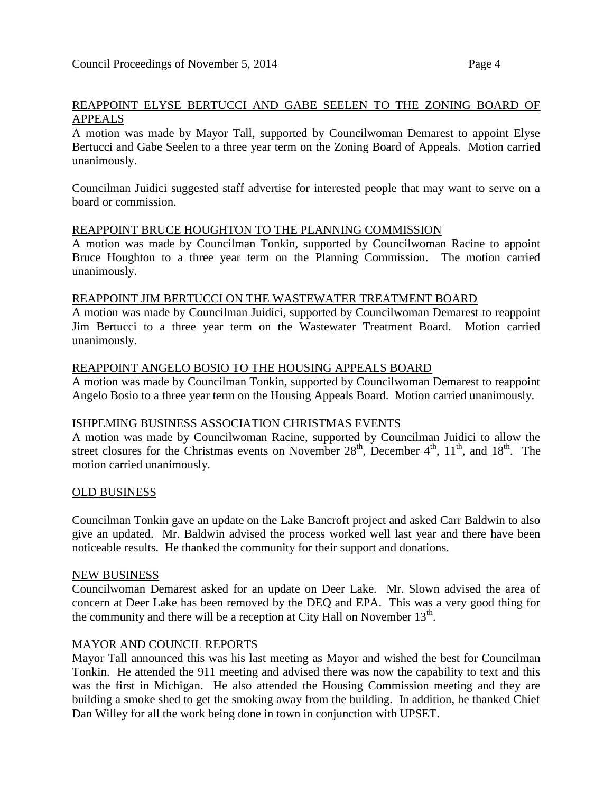## REAPPOINT ELYSE BERTUCCI AND GABE SEELEN TO THE ZONING BOARD OF APPEALS

A motion was made by Mayor Tall, supported by Councilwoman Demarest to appoint Elyse Bertucci and Gabe Seelen to a three year term on the Zoning Board of Appeals. Motion carried unanimously.

Councilman Juidici suggested staff advertise for interested people that may want to serve on a board or commission.

#### REAPPOINT BRUCE HOUGHTON TO THE PLANNING COMMISSION

A motion was made by Councilman Tonkin, supported by Councilwoman Racine to appoint Bruce Houghton to a three year term on the Planning Commission. The motion carried unanimously.

#### REAPPOINT JIM BERTUCCI ON THE WASTEWATER TREATMENT BOARD

A motion was made by Councilman Juidici, supported by Councilwoman Demarest to reappoint Jim Bertucci to a three year term on the Wastewater Treatment Board. Motion carried unanimously.

#### REAPPOINT ANGELO BOSIO TO THE HOUSING APPEALS BOARD

A motion was made by Councilman Tonkin, supported by Councilwoman Demarest to reappoint Angelo Bosio to a three year term on the Housing Appeals Board. Motion carried unanimously.

#### ISHPEMING BUSINESS ASSOCIATION CHRISTMAS EVENTS

A motion was made by Councilwoman Racine, supported by Councilman Juidici to allow the street closures for the Christmas events on November  $28<sup>th</sup>$ , December  $4<sup>th</sup>$ ,  $11<sup>th</sup>$ , and  $18<sup>th</sup>$ . The motion carried unanimously.

#### OLD BUSINESS

Councilman Tonkin gave an update on the Lake Bancroft project and asked Carr Baldwin to also give an updated. Mr. Baldwin advised the process worked well last year and there have been noticeable results. He thanked the community for their support and donations.

#### NEW BUSINESS

Councilwoman Demarest asked for an update on Deer Lake. Mr. Slown advised the area of concern at Deer Lake has been removed by the DEQ and EPA. This was a very good thing for the community and there will be a reception at City Hall on November  $13<sup>th</sup>$ .

#### MAYOR AND COUNCIL REPORTS

Mayor Tall announced this was his last meeting as Mayor and wished the best for Councilman Tonkin. He attended the 911 meeting and advised there was now the capability to text and this was the first in Michigan. He also attended the Housing Commission meeting and they are building a smoke shed to get the smoking away from the building. In addition, he thanked Chief Dan Willey for all the work being done in town in conjunction with UPSET.